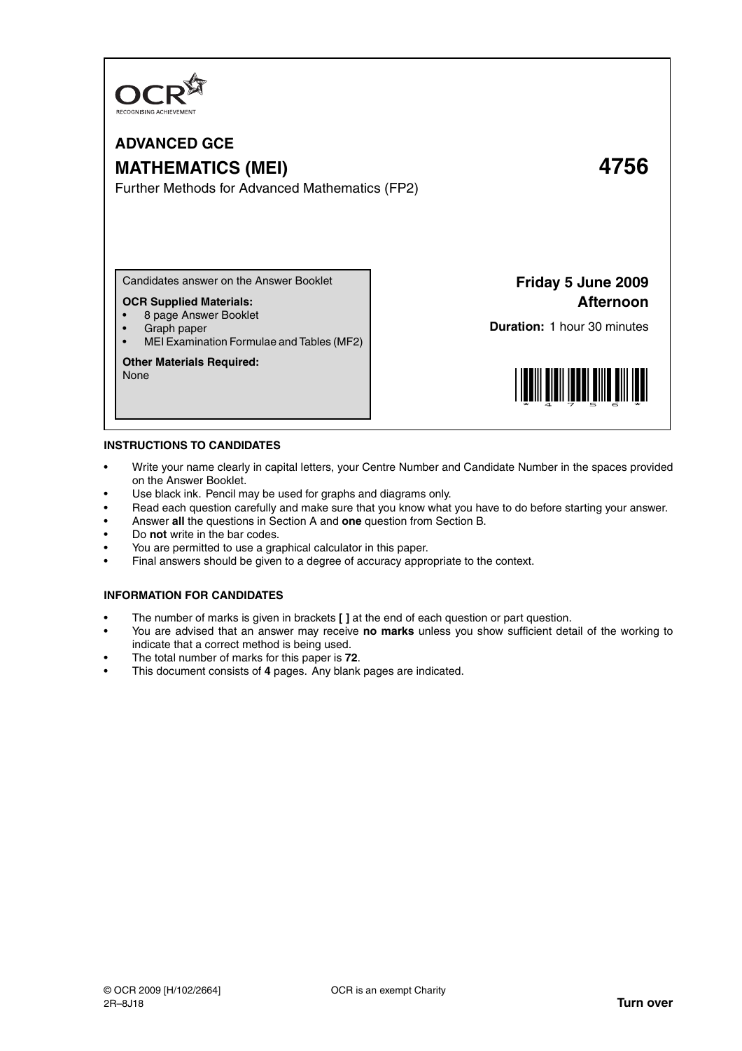

# **ADVANCED GCE MATHEMATICS (MEI) 4756**

Further Methods for Advanced Mathematics (FP2)

Candidates answer on the Answer Booklet

# **OCR Supplied Materials:**

- 8 page Answer Booklet
- Graph paper
- MEI Examination Formulae and Tables (MF2)

## **Other Materials Required:**

None

**Friday 5 June 2009 Afternoon**

**Duration:** 1 hour 30 minutes



#### **INSTRUCTIONS TO CANDIDATES**

- Write your name clearly in capital letters, your Centre Number and Candidate Number in the spaces provided on the Answer Booklet.
- Use black ink. Pencil may be used for graphs and diagrams only.
- Read each question carefully and make sure that you know what you have to do before starting your answer.
- Answer **all** the questions in Section A and **one** question from Section B.
- Do **not** write in the bar codes.
- You are permitted to use a graphical calculator in this paper.
- Final answers should be given to a degree of accuracy appropriate to the context.

# **INFORMATION FOR CANDIDATES**

- The number of marks is given in brackets **[ ]** at the end of each question or part question.
- You are advised that an answer may receive **no marks** unless you show sufficient detail of the working to indicate that a correct method is being used.
- The total number of marks for this paper is **72**.
- This document consists of **4** pages. Any blank pages are indicated.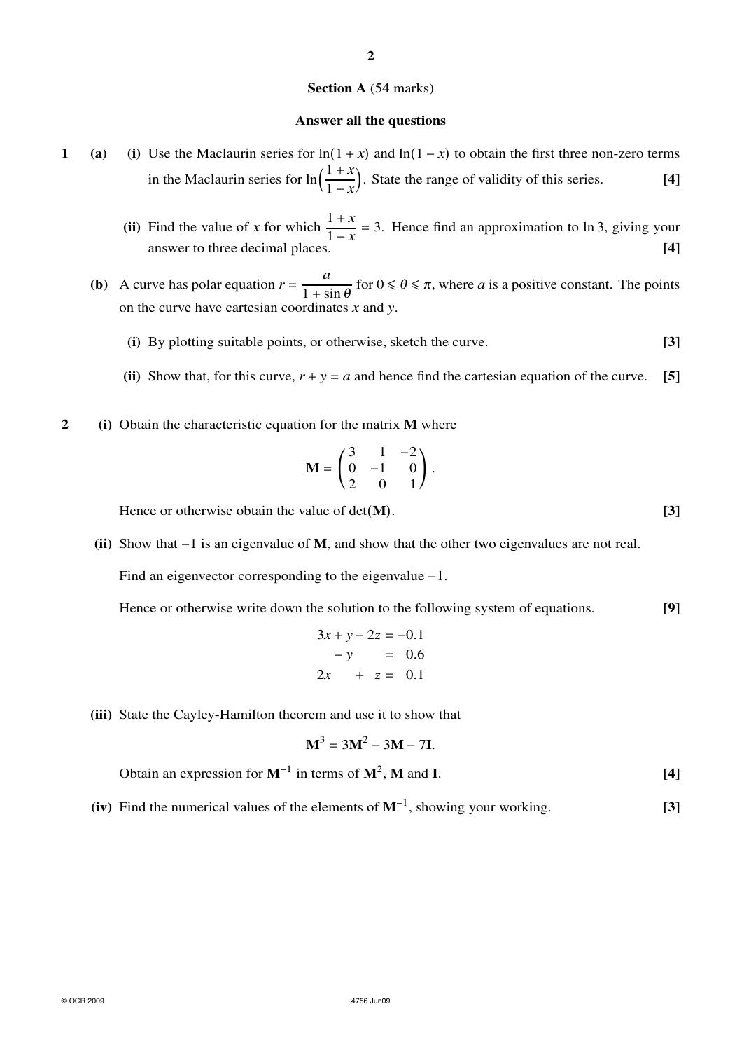## **Section A** (54 marks)

### **Answer all the questions**

- **1** (a) (i) Use the Maclaurin series for  $\ln(1 + x)$  and  $\ln(1 x)$  to obtain the first three non-zero terms in the Maclaurin series for  $\ln\left(\frac{1+x}{1+x}\right)$  $\frac{1+x}{1-x}$ . State the range of validity of this series. **[4]** 
	- **(ii)** Find the value of *x* for which  $\frac{1+x}{1+x}$  $\frac{1+x}{1-x}$  = 3. Hence find an approximation to ln 3, giving your answer to three decimal places. **[4]**
	- **(b)** A curve has polar equation  $r = \frac{a}{1 + s}$  $\frac{a}{1 + \sin \theta}$  for  $0 \le \theta \le \pi$ , where *a* is a positive constant. The points on the curve have cartesian coordinates *x* and *y*.
		- **(i)** By plotting suitable points, or otherwise, sketch the curve. **[3]**
		- (ii) Show that, for this curve,  $r + y = a$  and hence find the cartesian equation of the curve. [5]
- **2 (i)** Obtain the characteristic equation for the matrix **M** where

$$
\mathbf{M} = \begin{pmatrix} 3 & 1 & -2 \\ 0 & -1 & 0 \\ 2 & 0 & 1 \end{pmatrix}.
$$

Hence or otherwise obtain the value of det(**M**). [3]

**(ii)** Show that −1 is an eigenvalue of **M**, and show that the other two eigenvalues are not real.

Find an eigenvector corresponding to the eigenvalue −1.

Hence or otherwise write down the solution to the following system of equations. **[9]**

$$
3x + y - 2z = -0.1
$$
  

$$
-y = 0.6
$$
  

$$
2x + z = 0.1
$$

**(iii)** State the Cayley-Hamilton theorem and use it to show that

$$
\mathbf{M}^3 = 3\mathbf{M}^2 - 3\mathbf{M} - 7\mathbf{I}.
$$

Obtain an expression for  $M^{-1}$  in terms of  $M^2$ ,  $M$  and  $I$ . **[4]** [4]

**(iv)** Find the numerical values of the elements of **M**<sup>−</sup><sup>1</sup> , showing your working. **[3]**

**2**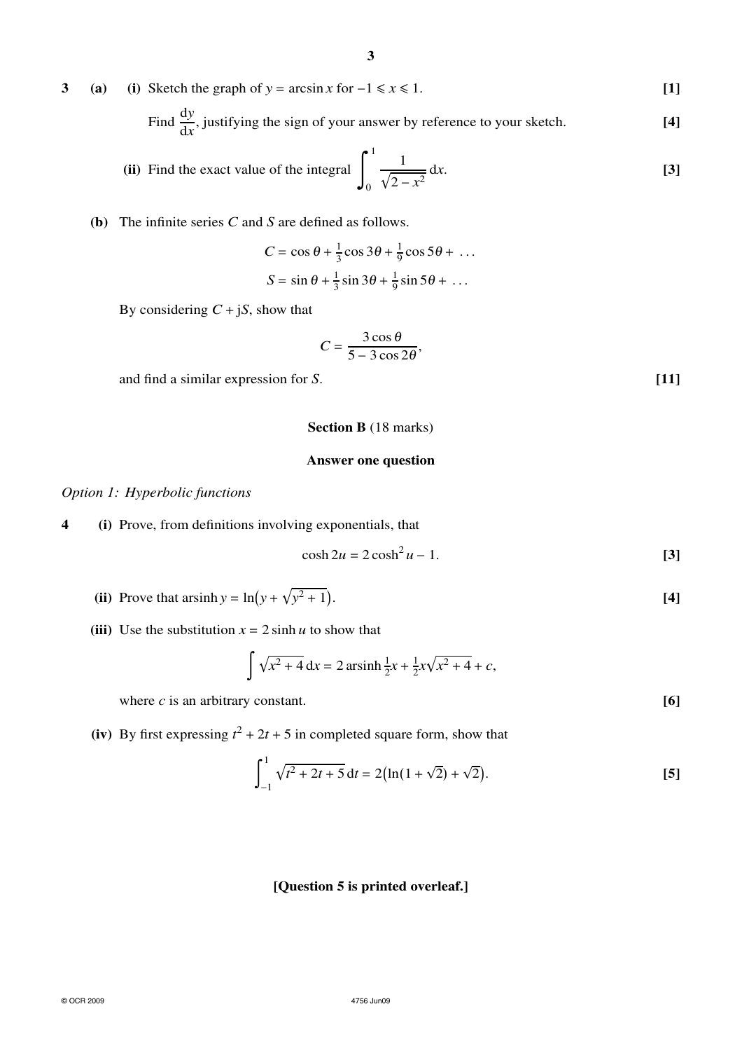**3** (a) (i) Sketch the graph of *y* = arcsin *x* for  $-1 \le x \le 1$ . [1]

Find 
$$
\frac{dy}{dx}
$$
, justifying the sign of your answer by reference to your sketch. [4]

(ii) Find the exact value of the integral 
$$
\int_0^1 \frac{1}{\sqrt{2 - x^2}} dx
$$
. [3]

# **(b)** The infinite series *C* and *S* are defined as follows.

$$
C = \cos \theta + \frac{1}{3} \cos 3\theta + \frac{1}{9} \cos 5\theta + \dots
$$
  

$$
S = \sin \theta + \frac{1}{3} \sin 3\theta + \frac{1}{9} \sin 5\theta + \dots
$$

By considering  $C + jS$ , show that

$$
C=\frac{3\cos\theta}{5-3\cos2\theta},
$$

and find a similar expression for *S*. **[11]**

## **Section B** (18 marks)

# **Answer one question**

*Option 1: Hyperbolic functions*

**4 (i)** Prove, from definitions involving exponentials, that

$$
\cosh 2u = 2\cosh^2 u - 1. \tag{3}
$$

- (ii) Prove that arsinh  $y = ln(y + \sqrt{y})$  $(4)$
- (iii) Use the substitution  $x = 2 \sinh u$  to show that

$$
\int \sqrt{x^2 + 4} \, dx = 2 \operatorname{arsinh} \frac{1}{2} x + \frac{1}{2} x \sqrt{x^2 + 4} + c,
$$

where  $c$  is an arbitrary constant.  $[6]$ 

**(iv)** By first expressing  $t^2 + 2t + 5$  in completed square form, show that

$$
\int_{-1}^{1} \sqrt{t^2 + 2t + 5} \, dt = 2\big(\ln(1 + \sqrt{2}) + \sqrt{2}\big).
$$
 [5]

# **[Question 5 is printed overleaf.]**